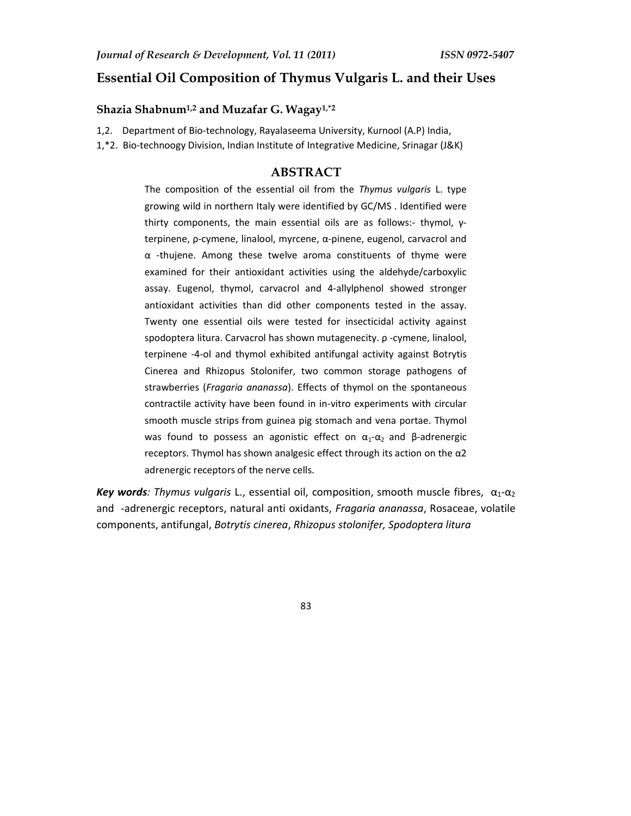# **Essential Oil Composition of Thymus Vulgaris L. and their Uses**

### **Shazia Shabnum1,2 and Muzafar G. Wagay1,\*2**

1,2. Department of Bio-technology, Rayalaseema University, Kurnool (A.P) India,

1,\*2. Bio-technoogy Division, Indian Institute of Integrative Medicine, Srinagar (J&K)

# **ABSTRACT**

The composition of the essential oil from the *Thymus vulgaris* L. type growing wild in northern Italy were identified by GC/MS . Identified were thirty components, the main essential oils are as follows:- thymol, γterpinene, ρ-cymene, linalool, myrcene, α-pinene, eugenol, carvacrol and α -thujene. Among these twelve aroma constituents of thyme were examined for their antioxidant activities using the aldehyde/carboxylic assay. Eugenol, thymol, carvacrol and 4-allylphenol showed stronger antioxidant activities than did other components tested in the assay. Twenty one essential oils were tested for insecticidal activity against spodoptera litura. Carvacrol has shown mutagenecity. ρ -cymene, linalool, terpinene -4-ol and thymol exhibited antifungal activity against Botrytis Cinerea and Rhizopus Stolonifer, two common storage pathogens of strawberries (*Fragaria ananassa*). Effects of thymol on the spontaneous contractile activity have been found in in-vitro experiments with circular smooth muscle strips from guinea pig stomach and vena portae. Thymol was found to possess an agonistic effect on  $\alpha_1$ - $\alpha_2$  and β-adrenergic receptors. Thymol has shown analgesic effect through its action on the α2 adrenergic receptors of the nerve cells.

*Key words: Thymus vulgaris* L., essential oil, composition, smooth muscle fibres,  $α_1$ - $α_2$ and -adrenergic receptors, natural anti oxidants, *Fragaria ananassa*, Rosaceae, volatile components, antifungal, *Botrytis cinerea*, *Rhizopus stolonifer, Spodoptera litura*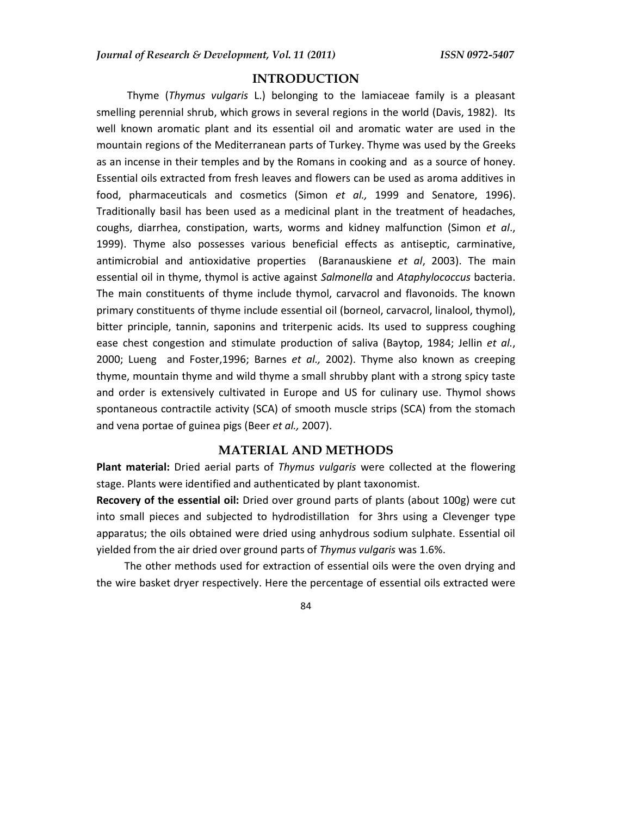# **INTRODUCTION**

 Thyme (*Thymus vulgaris* L.) belonging to the lamiaceae family is a pleasant smelling perennial shrub, which grows in several regions in the world (Davis, 1982). Its well known aromatic plant and its essential oil and aromatic water are used in the mountain regions of the Mediterranean parts of Turkey. Thyme was used by the Greeks as an incense in their temples and by the Romans in cooking and as a source of honey. Essential oils extracted from fresh leaves and flowers can be used as aroma additives in food, pharmaceuticals and cosmetics (Simon *et al.,* 1999 and Senatore, 1996). Traditionally basil has been used as a medicinal plant in the treatment of headaches, coughs, diarrhea, constipation, warts, worms and kidney malfunction (Simon *et al*., 1999). Thyme also possesses various beneficial effects as antiseptic, carminative, antimicrobial and antioxidative properties (Baranauskiene *et al*, 2003). The main essential oil in thyme, thymol is active against *Salmonella* and *Ataphylococcus* bacteria. The main constituents of thyme include thymol, carvacrol and flavonoids. The known primary constituents of thyme include essential oil (borneol, carvacrol, linalool, thymol), bitter principle, tannin, saponins and triterpenic acids. Its used to suppress coughing ease chest congestion and stimulate production of saliva (Baytop, 1984; Jellin *et al.*, 2000; Lueng and Foster,1996; Barnes *et al.,* 2002). Thyme also known as creeping thyme, mountain thyme and wild thyme a small shrubby plant with a strong spicy taste and order is extensively cultivated in Europe and US for culinary use. Thymol shows spontaneous contractile activity (SCA) of smooth muscle strips (SCA) from the stomach and vena portae of guinea pigs (Beer *et al.,* 2007).

### **MATERIAL AND METHODS**

**Plant material:** Dried aerial parts of *Thymus vulgaris* were collected at the flowering stage. Plants were identified and authenticated by plant taxonomist.

**Recovery of the essential oil:** Dried over ground parts of plants (about 100g) were cut into small pieces and subjected to hydrodistillation for 3hrs using a Clevenger type apparatus; the oils obtained were dried using anhydrous sodium sulphate. Essential oil yielded from the air dried over ground parts of *Thymus vulgaris* was 1.6%.

The other methods used for extraction of essential oils were the oven drying and the wire basket dryer respectively. Here the percentage of essential oils extracted were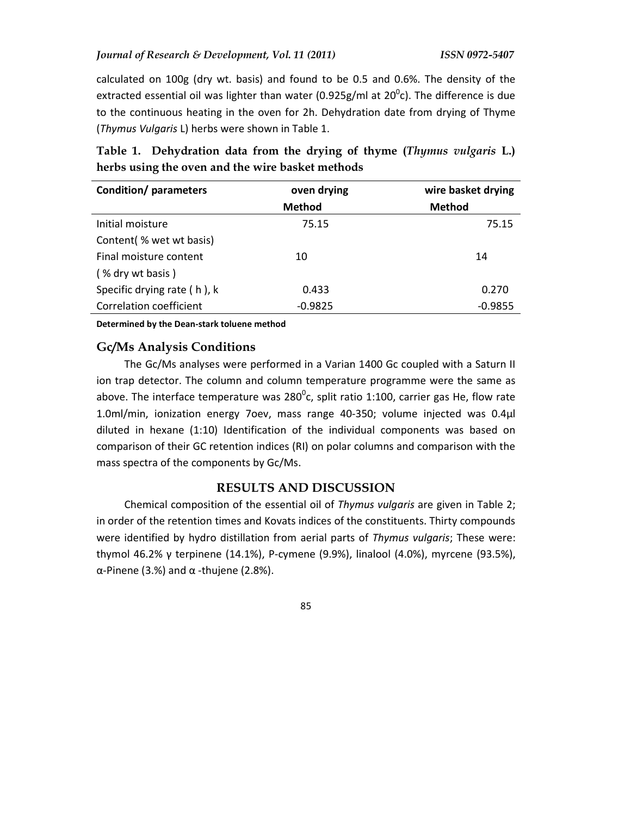calculated on 100g (dry wt. basis) and found to be 0.5 and 0.6%. The density of the extracted essential oil was lighter than water (0.925g/ml at 20 $\rm ^{0}$ c). The difference is due to the continuous heating in the oven for 2h. Dehydration date from drying of Thyme (*Thymus Vulgaris* L) herbs were shown in Table 1.

**Table 1. Dehydration data from the drying of thyme (***Thymus vulgaris* **L.) herbs using the oven and the wire basket methods** 

| <b>Condition/parameters</b>    | oven drying   | wire basket drying |  |  |
|--------------------------------|---------------|--------------------|--|--|
|                                | <b>Method</b> | <b>Method</b>      |  |  |
| Initial moisture               | 75.15         | 75.15              |  |  |
| Content (% wet wt basis)       |               |                    |  |  |
| Final moisture content         | 10            | 14                 |  |  |
| (% dry wt basis)               |               |                    |  |  |
| Specific drying rate (h), k    | 0.433         | 0.270              |  |  |
| <b>Correlation coefficient</b> | $-0.9825$     | $-0.9855$          |  |  |

**Determined by the Dean-stark toluene method** 

# **Gc/Ms Analysis Conditions**

The Gc/Ms analyses were performed in a Varian 1400 Gc coupled with a Saturn II ion trap detector. The column and column temperature programme were the same as above. The interface temperature was 280 $^0$ c, split ratio 1:100, carrier gas He, flow rate 1.0ml/min, ionization energy 7oev, mass range 40-350; volume injected was 0.4μl diluted in hexane (1:10) Identification of the individual components was based on comparison of their GC retention indices (RI) on polar columns and comparison with the mass spectra of the components by Gc/Ms.

### **RESULTS AND DISCUSSION**

Chemical composition of the essential oil of *Thymus vulgaris* are given in Table 2; in order of the retention times and Kovats indices of the constituents. Thirty compounds were identified by hydro distillation from aerial parts of *Thymus vulgaris*; These were: thymol 46.2% γ terpinene (14.1%), P-cymene (9.9%), linalool (4.0%), myrcene (93.5%), α-Pinene (3.%) and α -thujene (2.8%).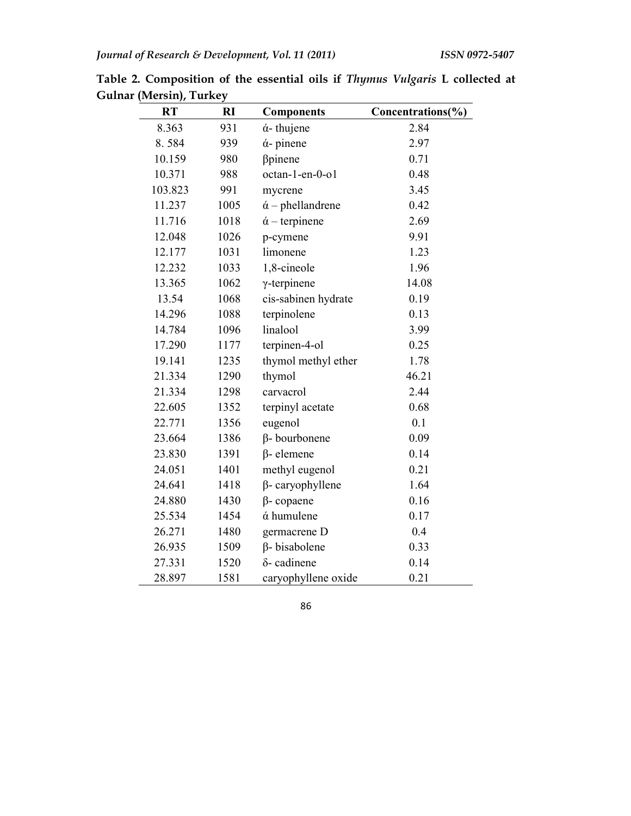| <b>RT</b> | RI   | <b>Components</b>               | Concentrations(%) |
|-----------|------|---------------------------------|-------------------|
| 8.363     | 931  | $\acute{\alpha}$ -thujene       | 2.84              |
| 8.584     | 939  | $\acute{\alpha}$ - pinene       | 2.97              |
| 10.159    | 980  | βpinene                         | 0.71              |
| 10.371    | 988  | octan-1-en-0-o1                 | 0.48              |
| 103.823   | 991  | mycrene                         | 3.45              |
| 11.237    | 1005 | $\acute{\alpha}$ – phellandrene | 0.42              |
| 11.716    | 1018 | $\acute{\alpha}$ – terpinene    | 2.69              |
| 12.048    | 1026 | p-cymene                        | 9.91              |
| 12.177    | 1031 | limonene                        | 1.23              |
| 12.232    | 1033 | 1,8-cineole                     | 1.96              |
| 13.365    | 1062 | $\gamma$ -terpinene             | 14.08             |
| 13.54     | 1068 | cis-sabinen hydrate             | 0.19              |
| 14.296    | 1088 | terpinolene                     | 0.13              |
| 14.784    | 1096 | linalool                        | 3.99              |
| 17.290    | 1177 | terpinen-4-ol                   | 0.25              |
| 19.141    | 1235 | thymol methyl ether             | 1.78              |
| 21.334    | 1290 | thymol                          | 46.21             |
| 21.334    | 1298 | carvacrol                       | 2.44              |
| 22.605    | 1352 | terpinyl acetate                | 0.68              |
| 22.771    | 1356 | eugenol                         | 0.1               |
| 23.664    | 1386 | β-bourbonene                    | 0.09              |
| 23.830    | 1391 | $\beta$ - elemene               | 0.14              |
| 24.051    | 1401 | methyl eugenol                  | 0.21              |
| 24.641    | 1418 | $\beta$ - caryophyllene         | 1.64              |
| 24.880    | 1430 | $\beta$ -copaene                | 0.16              |
| 25.534    | 1454 | ά humulene                      | 0.17              |
| 26.271    | 1480 | germacrene D                    | 0.4               |
| 26.935    | 1509 | $\beta$ - bisabolene            | 0.33              |
| 27.331    | 1520 | $\delta$ - cadinene             | 0.14              |
| 28.897    | 1581 | caryophyllene oxide             | 0.21              |

**Table 2. Composition of the essential oils if** *Thymus Vulgaris* **L collected at Gulnar (Mersin), Turkey**  ÷,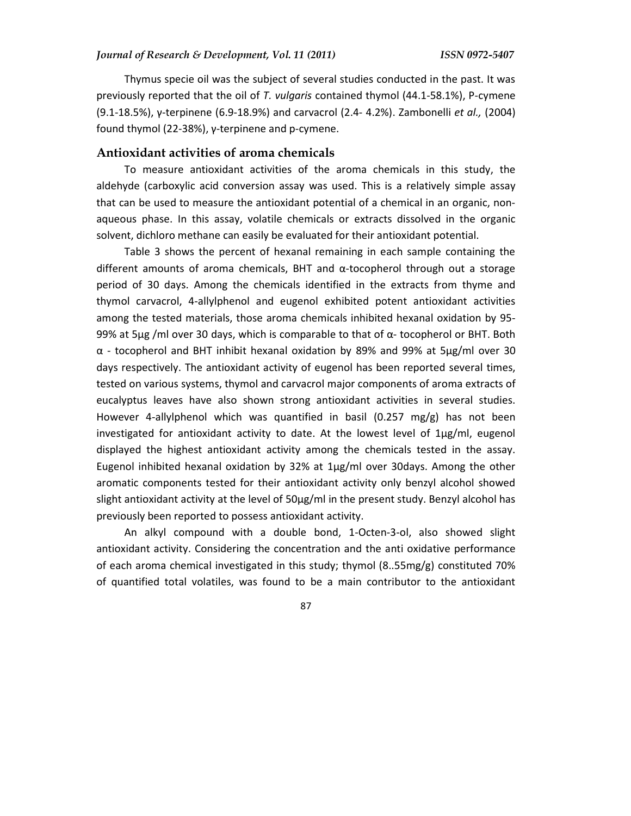Thymus specie oil was the subject of several studies conducted in the past. It was previously reported that the oil of *T. vulgaris* contained thymol (44.1-58.1%), P-cymene (9.1-18.5%), γ-terpinene (6.9-18.9%) and carvacrol (2.4- 4.2%). Zambonelli *et al.,* (2004) found thymol (22-38%), γ-terpinene and p-cymene.

### **Antioxidant activities of aroma chemicals**

To measure antioxidant activities of the aroma chemicals in this study, the aldehyde (carboxylic acid conversion assay was used. This is a relatively simple assay that can be used to measure the antioxidant potential of a chemical in an organic, nonaqueous phase. In this assay, volatile chemicals or extracts dissolved in the organic solvent, dichloro methane can easily be evaluated for their antioxidant potential.

Table 3 shows the percent of hexanal remaining in each sample containing the different amounts of aroma chemicals, BHT and  $\alpha$ -tocopherol through out a storage period of 30 days. Among the chemicals identified in the extracts from thyme and thymol carvacrol, 4-allylphenol and eugenol exhibited potent antioxidant activities among the tested materials, those aroma chemicals inhibited hexanal oxidation by 95- 99% at 5μg /ml over 30 days, which is comparable to that of α- tocopherol or BHT. Both α - tocopherol and BHT inhibit hexanal oxidation by 89% and 99% at 5μg/ml over 30 days respectively. The antioxidant activity of eugenol has been reported several times, tested on various systems, thymol and carvacrol major components of aroma extracts of eucalyptus leaves have also shown strong antioxidant activities in several studies. However 4-allylphenol which was quantified in basil (0.257 mg/g) has not been investigated for antioxidant activity to date. At the lowest level of 1μg/ml, eugenol displayed the highest antioxidant activity among the chemicals tested in the assay. Eugenol inhibited hexanal oxidation by 32% at  $1\mu g/ml$  over 30days. Among the other aromatic components tested for their antioxidant activity only benzyl alcohol showed slight antioxidant activity at the level of 50μg/ml in the present study. Benzyl alcohol has previously been reported to possess antioxidant activity.

An alkyl compound with a double bond, 1-Octen-3-ol, also showed slight antioxidant activity. Considering the concentration and the anti oxidative performance of each aroma chemical investigated in this study; thymol (8..55mg/g) constituted 70% of quantified total volatiles, was found to be a main contributor to the antioxidant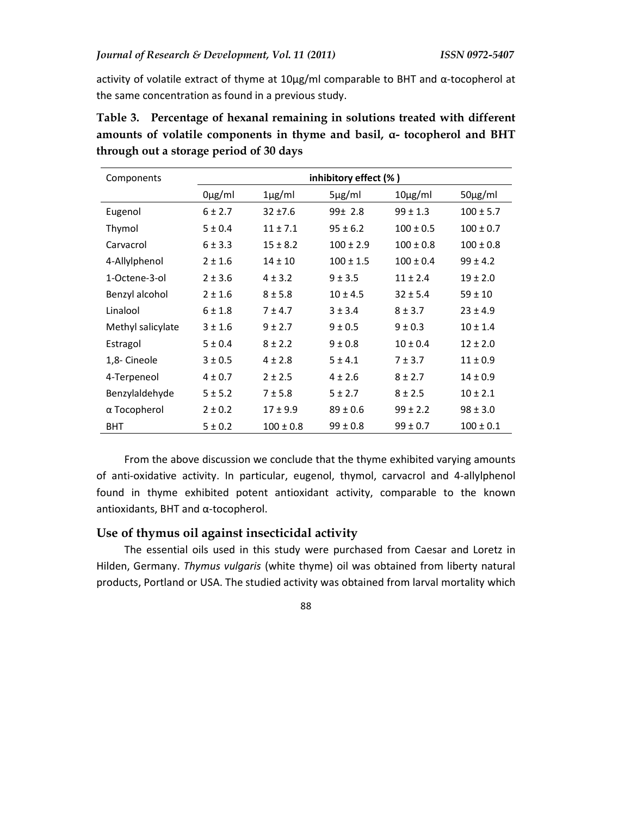activity of volatile extract of thyme at 10μg/ml comparable to BHT and α-tocopherol at the same concentration as found in a previous study.

| Components        | inhibitory effect (%) |               |               |               |               |  |
|-------------------|-----------------------|---------------|---------------|---------------|---------------|--|
|                   | $0\mu g/ml$           | $1\mu$ g/ml   | $5\mu$ g/ml   | $10\mu g/ml$  | $50\mu g/ml$  |  |
| Eugenol           | 6 ± 2.7               | $32 + 7.6$    | 99± 2.8       | $99 \pm 1.3$  | $100 \pm 5.7$ |  |
| Thymol            | 5 ± 0.4               | $11 \pm 7.1$  | $95 \pm 6.2$  | $100 \pm 0.5$ | $100 \pm 0.7$ |  |
| Carvacrol         | $6 \pm 3.3$           | $15 \pm 8.2$  | $100 \pm 2.9$ | $100 \pm 0.8$ | $100 \pm 0.8$ |  |
| 4-Allylphenol     | $2 \pm 1.6$           | $14 \pm 10$   | $100 \pm 1.5$ | $100 \pm 0.4$ | $99 \pm 4.2$  |  |
| 1-Octene-3-ol     | $2 \pm 3.6$           | $4 \pm 3.2$   | $9 + 3.5$     | $11 \pm 2.4$  | $19 \pm 2.0$  |  |
| Benzyl alcohol    | $2 \pm 1.6$           | $8 + 5.8$     | $10 \pm 4.5$  | $32 \pm 5.4$  | $59 \pm 10$   |  |
| Linalool          | $6 \pm 1.8$           | $7 + 4.7$     | $3 \pm 3.4$   | $8 \pm 3.7$   | $23 \pm 4.9$  |  |
| Methyl salicylate | $3 \pm 1.6$           | $9 \pm 2.7$   | $9 \pm 0.5$   | $9 \pm 0.3$   | $10 \pm 1.4$  |  |
| Estragol          | 5 ± 0.4               | $8 \pm 2.2$   | $9 \pm 0.8$   | $10 \pm 0.4$  | $12 \pm 2.0$  |  |
| 1,8- Cineole      | 3 ± 0.5               | $4 \pm 2.8$   | 5±4.1         | 7 ± 3.7       | $11 \pm 0.9$  |  |
| 4-Terpeneol       | $4 \pm 0.7$           | $2 \pm 2.5$   | $4 \pm 2.6$   | $8 \pm 2.7$   | $14 \pm 0.9$  |  |
| Benzylaldehyde    | 5 ± 5.2               | $7 + 5.8$     | 5 ± 2.7       | $8 \pm 2.5$   | $10 \pm 2.1$  |  |
| α Tocopherol      | $2 \pm 0.2$           | $17 \pm 9.9$  | $89 \pm 0.6$  | $99 \pm 2.2$  | $98 \pm 3.0$  |  |
| <b>BHT</b>        | 5 ± 0.2               | $100 \pm 0.8$ | $99 \pm 0.8$  | $99 \pm 0.7$  | $100 \pm 0.1$ |  |

**Table 3. Percentage of hexanal remaining in solutions treated with different amounts of volatile components in thyme and basil, α- tocopherol and BHT through out a storage period of 30 days** 

From the above discussion we conclude that the thyme exhibited varying amounts of anti-oxidative activity. In particular, eugenol, thymol, carvacrol and 4-allylphenol found in thyme exhibited potent antioxidant activity, comparable to the known antioxidants, BHT and α-tocopherol.

# **Use of thymus oil against insecticidal activity**

The essential oils used in this study were purchased from Caesar and Loretz in Hilden, Germany. *Thymus vulgaris* (white thyme) oil was obtained from liberty natural products, Portland or USA. The studied activity was obtained from larval mortality which

88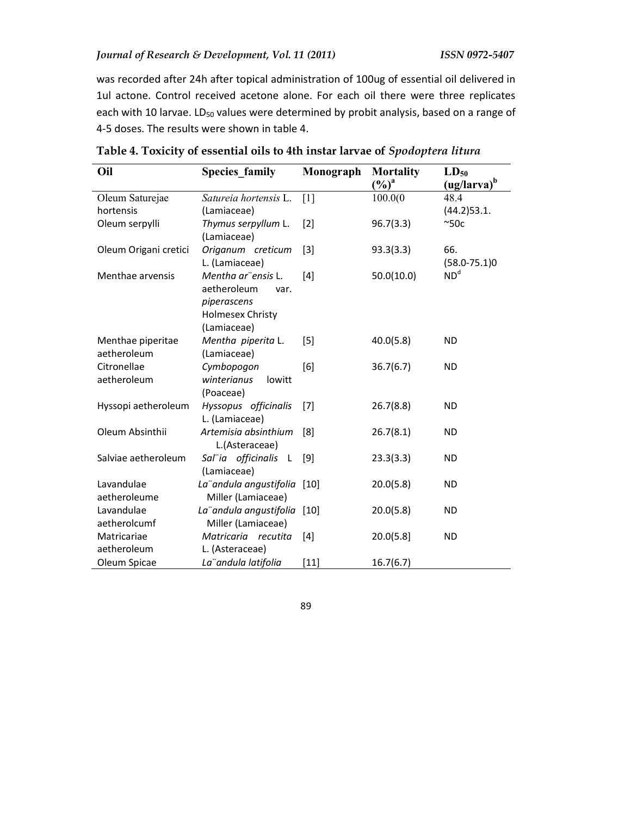was recorded after 24h after topical administration of 100ug of essential oil delivered in 1ul actone. Control received acetone alone. For each oil there were three replicates each with 10 larvae. LD<sub>50</sub> values were determined by probit analysis, based on a range of 4-5 doses. The results were shown in table 4.

| Oil                              | <b>Species_family</b>                                                                               | Monograph | <b>Mortality</b><br>$(\%)^a$ | $LD_{50}$<br>(ug/larva) <sup>b</sup> |
|----------------------------------|-----------------------------------------------------------------------------------------------------|-----------|------------------------------|--------------------------------------|
| Oleum Saturejae                  | Satureia hortensis L.                                                                               | $[1]$     | 100.0(0)                     | 48.4                                 |
| hortensis                        | (Lamiaceae)                                                                                         |           |                              | $(44.2)$ 53.1.                       |
| Oleum serpylli                   | Thymus serpyllum L.<br>(Lamiaceae)                                                                  | $[2]$     | 96.7(3.3)                    | ~50c                                 |
| Oleum Origani cretici            | Origanum creticum<br>L. (Lamiaceae)                                                                 | $[3]$     | 93.3(3.3)                    | 66.<br>$(58.0 - 75.1)0$              |
| Menthae arvensis                 | Mentha ar" ensis L.<br>aetheroleum<br>var.<br>piperascens<br><b>Holmesex Christy</b><br>(Lamiaceae) | $[4]$     | 50.0(10.0)                   | ND <sup>d</sup>                      |
| Menthae piperitae<br>aetheroleum | Mentha piperita L.<br>(Lamiaceae)                                                                   | [5]       | 40.0(5.8)                    | <b>ND</b>                            |
| Citronellae<br>aetheroleum       | Cymbopogon<br>winterianus<br>lowitt<br>(Poaceae)                                                    | [6]       | 36.7(6.7)                    | <b>ND</b>                            |
| Hyssopi aetheroleum              | Hyssopus officinalis<br>L. (Lamiaceae)                                                              | $[7]$     | 26.7(8.8)                    | <b>ND</b>                            |
| Oleum Absinthii                  | Artemisia absinthium<br>L.(Asteraceae)                                                              | [8]       | 26.7(8.1)                    | <b>ND</b>                            |
| Salviae aetheroleum              | Sal"ia officinalis<br>$\mathsf{L}$<br>(Lamiaceae)                                                   | [9]       | 23.3(3.3)                    | <b>ND</b>                            |
| Lavandulae                       | La" andula angustifolia                                                                             | $[10]$    | 20.0(5.8)                    | <b>ND</b>                            |
| aetheroleume                     | Miller (Lamiaceae)                                                                                  |           |                              |                                      |
| Lavandulae                       | La" andula angustifolia [10]                                                                        |           | 20.0(5.8)                    | <b>ND</b>                            |
| aetherolcumf                     | Miller (Lamiaceae)                                                                                  |           |                              |                                      |
| Matricariae                      | Matricaria recutita                                                                                 | $[4]$     | 20.0(5.8)                    | <b>ND</b>                            |
| aetheroleum                      | L. (Asteraceae)                                                                                     |           |                              |                                      |
| Oleum Spicae                     | La" andula latifolia                                                                                | $[11]$    | 16.7(6.7)                    |                                      |

**Table 4. Toxicity of essential oils to 4th instar larvae of** *Spodoptera litura*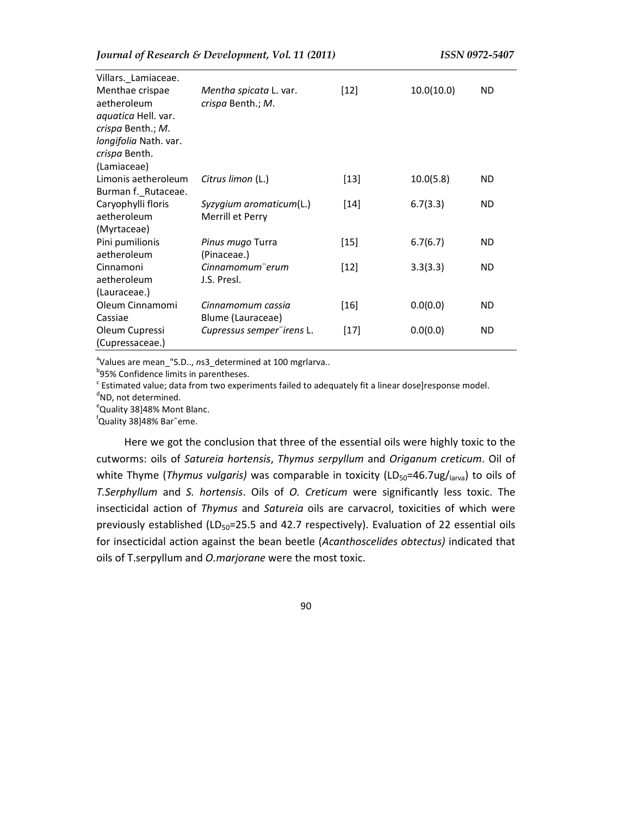| Villars._Lamiaceae.                                                                                                                 |                                             |        |            |     |
|-------------------------------------------------------------------------------------------------------------------------------------|---------------------------------------------|--------|------------|-----|
| Menthae crispae<br>aetheroleum<br>aquatica Hell. var.<br>crispa Benth.; M.<br>longifolia Nath. var.<br>crispa Benth.<br>(Lamiaceae) | Mentha spicata L. var.<br>crispa Benth.; M. | $[12]$ | 10.0(10.0) | ND. |
| Limonis aetheroleum<br>Burman f._Rutaceae.                                                                                          | Citrus limon (L.)                           | $[13]$ | 10.0(5.8)  | ND  |
| Caryophylli floris<br>aetheroleum<br>(Myrtaceae)                                                                                    | Syzygium aromaticum(L.)<br>Merrill et Perry | $[14]$ | 6.7(3.3)   | ND. |
| Pini pumilionis<br>aetheroleum                                                                                                      | Pinus mugo Turra<br>(Pinaceae.)             | $[15]$ | 6.7(6.7)   | ND. |
| Cinnamoni<br>aetheroleum<br>(Lauraceae.)                                                                                            | Cinnamomum" erum<br>J.S. Presl.             | $[12]$ | 3.3(3.3)   | ND. |
| Oleum Cinnamomi<br>Cassiae                                                                                                          | Cinnamomum cassia<br>Blume (Lauraceae)      | $[16]$ | 0.0(0.0)   | ND. |
| Oleum Cupressi<br>(Cupressaceae.)                                                                                                   | Cupressus semper irens L.                   | $[17]$ | 0.0(0.0)   | ND. |

<sup>a</sup>Values are mean\_"S.D.., ns3\_determined at 100 mgrlarva..

<sup>b</sup>95% Confidence limits in parentheses.

 $\textdegree$  Estimated value; data from two experiments failed to adequately fit a linear dose]response model.

<sup>d</sup>ND, not determined.

eQuality 38]48% Mont Blanc.

<sup>f</sup>Quality 38]48% Barˆeme.

Here we got the conclusion that three of the essential oils were highly toxic to the cutworms: oils of *Satureia hortensis*, *Thymus serpyllum* and *Origanum creticum*. Oil of white Thyme (*Thymus vulgaris*) was comparable in toxicity (LD<sub>50</sub>=46.7ug/larva) to oils of *T.Serphyllum* and *S. hortensis*. Oils of *O. Creticum* were significantly less toxic. The insecticidal action of *Thymus* and *Satureia* oils are carvacrol, toxicities of which were previously established ( $LD_{50}$ =25.5 and 42.7 respectively). Evaluation of 22 essential oils for insecticidal action against the bean beetle (*Acanthoscelides obtectus)* indicated that oils of T.serpyllum and *O.marjorane* were the most toxic.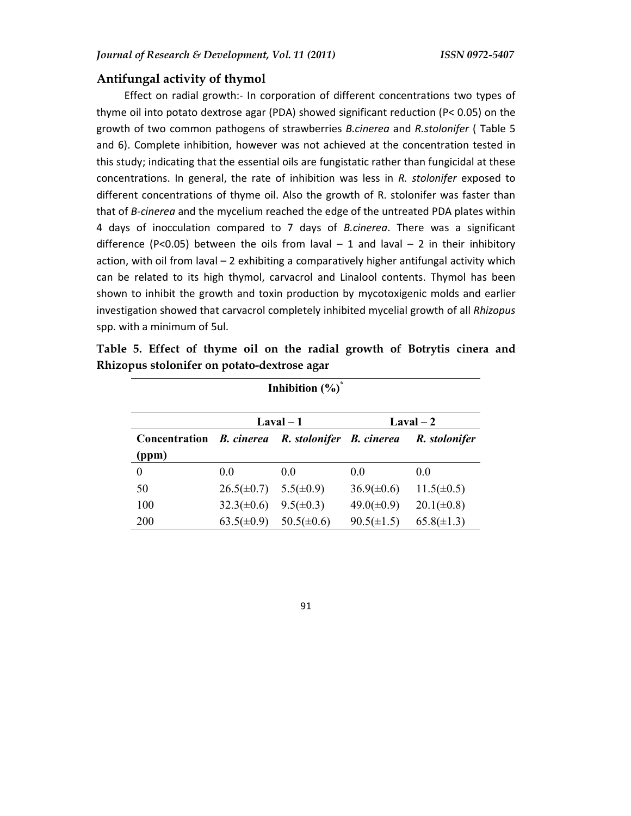# **Antifungal activity of thymol**

Effect on radial growth:- In corporation of different concentrations two types of thyme oil into potato dextrose agar (PDA) showed significant reduction (P< 0.05) on the growth of two common pathogens of strawberries *B.cinerea* and *R.stolonifer* ( Table 5 and 6). Complete inhibition, however was not achieved at the concentration tested in this study; indicating that the essential oils are fungistatic rather than fungicidal at these concentrations. In general, the rate of inhibition was less in *R. stolonifer* exposed to different concentrations of thyme oil. Also the growth of R. stolonifer was faster than that of *B-cinerea* and the mycelium reached the edge of the untreated PDA plates within 4 days of inocculation compared to 7 days of *B.cinerea*. There was a significant difference (P<0.05) between the oils from laval  $-1$  and laval  $-2$  in their inhibitory action, with oil from laval – 2 exhibiting a comparatively higher antifungal activity which can be related to its high thymol, carvacrol and Linalool contents. Thymol has been shown to inhibit the growth and toxin production by mycotoxigenic molds and earlier investigation showed that carvacrol completely inhibited mycelial growth of all *Rhizopus* spp. with a minimum of 5ul.

|  |  |                                             |  |  |  | Table 5. Effect of thyme oil on the radial growth of Botrytis cinera and |  |
|--|--|---------------------------------------------|--|--|--|--------------------------------------------------------------------------|--|
|  |  | Rhizopus stolonifer on potato-dextrose agar |  |  |  |                                                                          |  |

| Inhibition $(\%)^*$        |                   |                          |                 |                 |  |  |  |
|----------------------------|-------------------|--------------------------|-----------------|-----------------|--|--|--|
| $Laval - 1$<br>$Laval - 2$ |                   |                          |                 |                 |  |  |  |
| Concentration              | <b>B.</b> cinerea | R. stolonifer B. cinerea |                 | R. stolonifer   |  |  |  |
| (ppm)                      |                   |                          |                 |                 |  |  |  |
| $\theta$                   | 0.0               | 0.0                      | 0.0             | 0.0             |  |  |  |
| 50                         | $26.5(\pm 0.7)$   | $5.5(\pm 0.9)$           | $36.9(\pm 0.6)$ | $11.5(\pm 0.5)$ |  |  |  |
| 100                        | $32.3(\pm 0.6)$   | $9.5(\pm 0.3)$           | $49.0(\pm 0.9)$ | $20.1(\pm 0.8)$ |  |  |  |
| 200                        | $63.5(\pm 0.9)$   | $50.5(\pm 0.6)$          | $90.5(\pm 1.5)$ | $65.8(\pm 1.3)$ |  |  |  |

91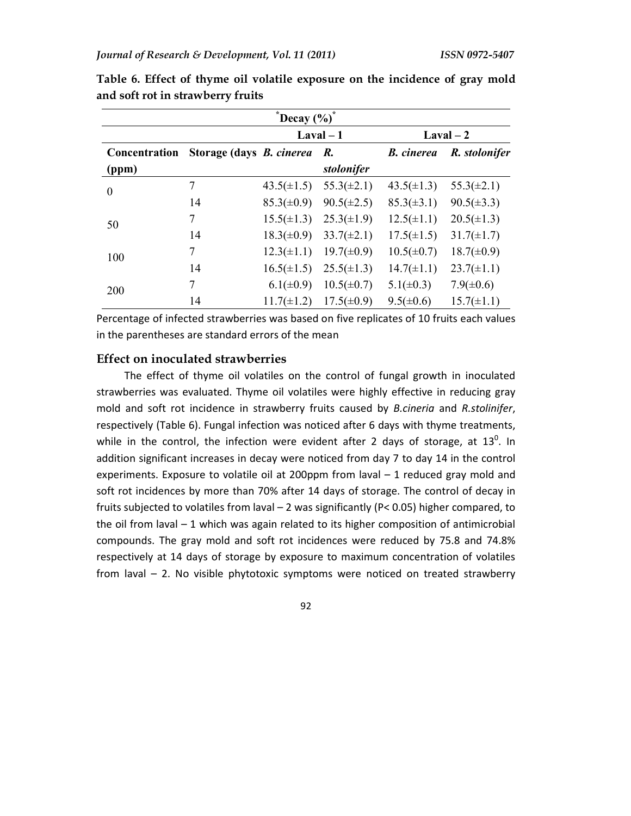| $\mathrm{``Decay~(}\%)^*$  |                                    |                 |                 |                   |                 |  |  |
|----------------------------|------------------------------------|-----------------|-----------------|-------------------|-----------------|--|--|
| $Laval - 1$<br>$Laval - 2$ |                                    |                 |                 |                   |                 |  |  |
| Concentration              | Storage (days <i>B. cinerea R.</i> |                 |                 | <b>B.</b> cinerea | R. stolonifer   |  |  |
| (ppm)                      |                                    |                 | stolonifer      |                   |                 |  |  |
| $\theta$                   | 7                                  | $43.5(\pm 1.5)$ | $55.3(\pm 2.1)$ | $43.5(\pm 1.3)$   | $55.3(\pm 2.1)$ |  |  |
|                            | 14                                 | $85.3(\pm 0.9)$ | $90.5(\pm 2.5)$ | $85.3(\pm 3.1)$   | $90.5(\pm 3.3)$ |  |  |
| 50                         | 7                                  | $15.5(\pm 1.3)$ | $25.3(\pm 1.9)$ | $12.5(\pm 1.1)$   | $20.5(\pm 1.3)$ |  |  |
|                            | 14                                 | $18.3(\pm 0.9)$ | $33.7(\pm 2.1)$ | $17.5(\pm 1.5)$   | $31.7(\pm 1.7)$ |  |  |
| 100                        | 7                                  | $12.3(\pm 1.1)$ | $19.7(\pm 0.9)$ | $10.5(\pm 0.7)$   | $18.7(\pm 0.9)$ |  |  |
|                            | 14                                 | $16.5(\pm 1.5)$ | $25.5(\pm 1.3)$ | $14.7(\pm 1.1)$   | $23.7(\pm 1.1)$ |  |  |
| 200                        | 7                                  | $6.1(\pm 0.9)$  | $10.5(\pm 0.7)$ | $5.1(\pm 0.3)$    | $7.9(\pm 0.6)$  |  |  |
|                            | 14                                 | $11.7(\pm 1.2)$ | $17.5(\pm 0.9)$ | $9.5(\pm 0.6)$    | $15.7(\pm 1.1)$ |  |  |

**Table 6. Effect of thyme oil volatile exposure on the incidence of gray mold and soft rot in strawberry fruits** 

Percentage of infected strawberries was based on five replicates of 10 fruits each values in the parentheses are standard errors of the mean

### **Effect on inoculated strawberries**

The effect of thyme oil volatiles on the control of fungal growth in inoculated strawberries was evaluated. Thyme oil volatiles were highly effective in reducing gray mold and soft rot incidence in strawberry fruits caused by *B.cineria* and *R.stolinifer*, respectively (Table 6). Fungal infection was noticed after 6 days with thyme treatments, while in the control, the infection were evident after 2 days of storage, at  $13^0$ . In addition significant increases in decay were noticed from day 7 to day 14 in the control experiments. Exposure to volatile oil at 200ppm from laval – 1 reduced gray mold and soft rot incidences by more than 70% after 14 days of storage. The control of decay in fruits subjected to volatiles from laval – 2 was significantly (P< 0.05) higher compared, to the oil from laval  $-1$  which was again related to its higher composition of antimicrobial compounds. The gray mold and soft rot incidences were reduced by 75.8 and 74.8% respectively at 14 days of storage by exposure to maximum concentration of volatiles from laval – 2. No visible phytotoxic symptoms were noticed on treated strawberry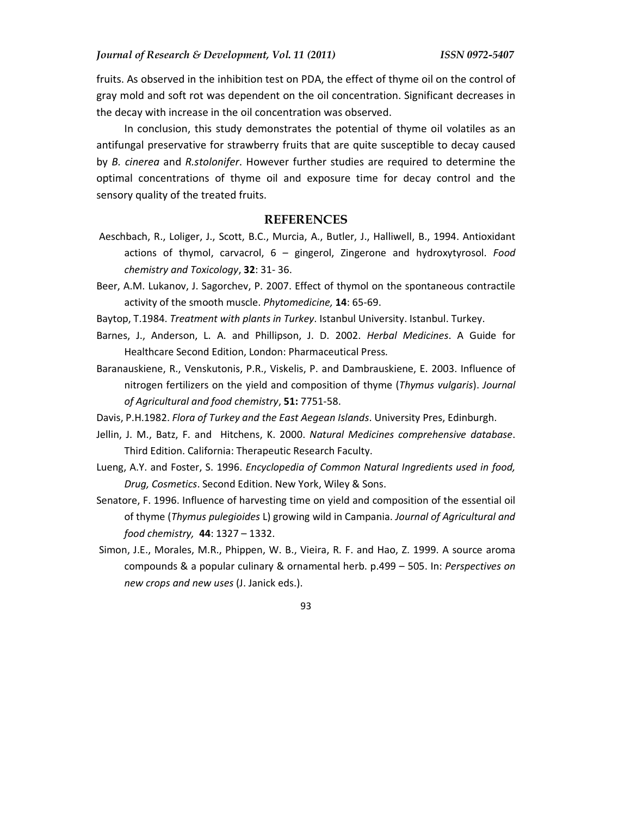fruits. As observed in the inhibition test on PDA, the effect of thyme oil on the control of gray mold and soft rot was dependent on the oil concentration. Significant decreases in the decay with increase in the oil concentration was observed.

In conclusion, this study demonstrates the potential of thyme oil volatiles as an antifungal preservative for strawberry fruits that are quite susceptible to decay caused by *B. cinerea* and *R.stolonifer*. However further studies are required to determine the optimal concentrations of thyme oil and exposure time for decay control and the sensory quality of the treated fruits.

#### **REFERENCES**

- Aeschbach, R., Loliger, J., Scott, B.C., Murcia, A., Butler, J., Halliwell, B., 1994. Antioxidant actions of thymol, carvacrol, 6 – gingerol, Zingerone and hydroxytyrosol. *Food chemistry and Toxicology*, **32**: 31- 36.
- Beer, A.M. Lukanov, J. Sagorchev, P. 2007. Effect of thymol on the spontaneous contractile activity of the smooth muscle. *Phytomedicine,* **14**: 65-69.

Baytop, T.1984. *Treatment with plants in Turkey*. Istanbul University. Istanbul. Turkey.

- Barnes, J., Anderson, L. A. and Phillipson, J. D. 2002. *Herbal Medicines*. A Guide for Healthcare Second Edition, London: Pharmaceutical Press.
- Baranauskiene, R., Venskutonis, P.R., Viskelis, P. and Dambrauskiene, E. 2003. Influence of nitrogen fertilizers on the yield and composition of thyme (*Thymus vulgaris*). *Journal of Agricultural and food chemistry*, **51:** 7751-58.

Davis, P.H.1982. *Flora of Turkey and the East Aegean Islands*. University Pres, Edinburgh.

- Jellin, J. M., Batz, F. and Hitchens, K. 2000. *Natural Medicines comprehensive database*. Third Edition. California: Therapeutic Research Faculty.
- Lueng, A.Y. and Foster, S. 1996. *Encyclopedia of Common Natural Ingredients used in food, Drug, Cosmetics*. Second Edition. New York, Wiley & Sons.
- Senatore, F. 1996. Influence of harvesting time on yield and composition of the essential oil of thyme (*Thymus pulegioides* L) growing wild in Campania. *Journal of Agricultural and food chemistry,* **44**: 1327 – 1332.
- Simon, J.E., Morales, M.R., Phippen, W. B., Vieira, R. F. and Hao, Z. 1999. A source aroma compounds & a popular culinary & ornamental herb. p.499 – 505. In: *Perspectives on new crops and new uses* (J. Janick eds.).